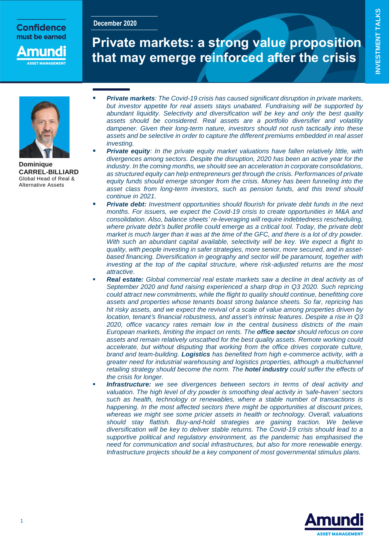# Confidence must be earned

**December 2020**

nunc

# **Private markets: a strong value proposition that may emerge reinforced after the crisis**



**Dominique CARREL-BILLIARD** Global Head of Real & Alternative Assets

- *Private markets: The Covid-19 crisis has caused significant disruption in private markets, but investor appetite for real assets stays unabated. Fundraising will be supported by abundant liquidity. Selectivity and diversification will be key and only the best quality assets should be considered. Real assets are a portfolio diversifier and volatility dampener. Given their long-term nature, investors should not rush tactically into these assets and be selective in order to capture the different premiums embedded in real asset investing.*
- *Private equity: In the private equity market valuations have fallen relatively little, with divergences among sectors. Despite the disruption, 2020 has been an active year for the industry. In the coming months, we should see an acceleration in corporate consolidations, as structured equity can help entrepreneurs get through the crisis. Performances of private equity funds should emerge stronger from the crisis. Money has been funneling into the asset class from long-term investors, such as pension funds, and this trend should continue in 2021.*
- *Private debt: Investment opportunities should flourish for private debt funds in the next months. For issuers, we expect the Covid-19 crisis to create opportunities in M&A and consolidation. Also, balance sheets' re-leveraging will require indebtedness rescheduling, where private debt's bullet profile could emerge as a critical tool. Today, the private debt market is much larger than it was at the time of the GFC, and there is a lot of dry powder. With such an abundant capital available, selectivity will be key. We expect a flight to quality, with people investing in safer strategies, more senior, more secured, and in assetbased financing. Diversification in geography and sector will be paramount, together with investing at the top of the capital structure, where risk-adjusted returns are the most attractive*.
- *Real estate: Global commercial real estate markets saw a decline in deal activity as of September 2020 and fund raising experienced a sharp drop in Q3 2020. Such repricing could attract new commitments, while the flight to quality should continue, benefitting core assets and properties whose tenants boast strong balance sheets. So far, repricing has hit risky assets, and we expect the revival of a scale of value among properties driven by location, tenant's financial robustness, and asset's intrinsic features. Despite a rise in Q3 2020, office vacancy rates remain low in the central business districts of the main European markets, limiting the impact on rents. The office sector should refocus on core assets and remain relatively unscathed for the best quality assets. Remote working could accelerate, but without disputing that working from the office drives corporate culture, brand and team-building. Logistics has benefited from high e-commerce activity, with a greater need for industrial warehousing and logistics properties, although a multichannel retailing strategy should become the norm. The hotel industry could suffer the effects of the crisis for longer.*
- *Infrastructure: we see divergences between sectors in terms of deal activity and valuation. The high level of dry powder is smoothing deal activity in 'safe-haven' sectors such as health, technology or renewables, where a stable number of transactions is happening. In the most affected sectors there might be opportunities at discount prices, whereas we might see some pricier assets in health or technology. Overall, valuations should stay flattish. Buy-and-hold strategies are gaining traction. We believe diversification will be key to deliver stable returns. The Covid-19 crisis should lead to a supportive political and regulatory environment, as the pandemic has emphasised the need for communication and social infrastructures, but also for more renewable energy. Infrastructure projects should be a key component of most governmental stimulus plans.*

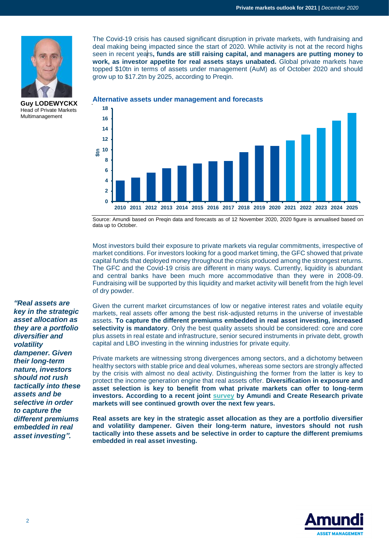

**Guy LODEWYCKX** Head of Private Markets Multimanagement

The Covid-19 crisis has caused significant disruption in private markets, with fundraising and deal making being impacted since the start of 2020. While activity is not at the record highs seen in recent years**, funds are still raising capital, and managers are putting money to work, as investor appetite for real assets stays unabated.** Global private markets have topped \$10tn in terms of assets under management (AuM) as of October 2020 and should grow up to \$17.2tn by 2025, according to Preqin.





Source: Amundi based on Preqin data and forecasts as of 12 November 2020, 2020 figure is annualised based on data up to October.

Most investors build their exposure to private markets via regular commitments, irrespective of market conditions. For investors looking for a good market timing, the GFC showed that private capital funds that deployed money throughout the crisis produced among the strongest returns. The GFC and the Covid-19 crisis are different in many ways. Currently, liquidity is abundant and central banks have been much more accommodative than they were in 2008-09. Fundraising will be supported by this liquidity and market activity will benefit from the high level of dry powder.

Given the current market circumstances of low or negative interest rates and volatile equity markets, real assets offer among the best risk-adjusted returns in the universe of investable assets. **To capture the different premiums embedded in real asset investing, increased selectivity is mandatory**. Only the best quality assets should be considered: core and core plus assets in real estate and infrastructure, senior secured instruments in private debt, growth capital and LBO investing in the winning industries for private equity.

Private markets are witnessing strong divergences among sectors, and a dichotomy between healthy sectors with stable price and deal volumes, whereas some sectors are strongly affected by the crisis with almost no deal activity. Distinguishing the former from the latter is key to protect the income generation engine that real assets offer. **Diversification in exposure and asset selection is key to benefit from what private markets can offer to long-term investors. According to a recent joint [survey](https://research-center.amundi.com/page/Publications/Discussion-Paper/2020/Creating-resilient-pension-portfolios-post-Covid-19) by Amundi and Create Research private markets will see continued growth over the next few years.**

**Real assets are key in the strategic asset allocation as they are a portfolio diversifier and volatility dampener. Given their long-term nature, investors should not rush tactically into these assets and be selective in order to capture the different premiums embedded in real asset investing.**



*key in the strategic asset allocation as they are a portfolio diversifier and volatility dampener. Given their long-term nature, investors should not rush tactically into these assets and be selective in order to capture the different premiums embedded in real asset investing".*

*"Real assets are*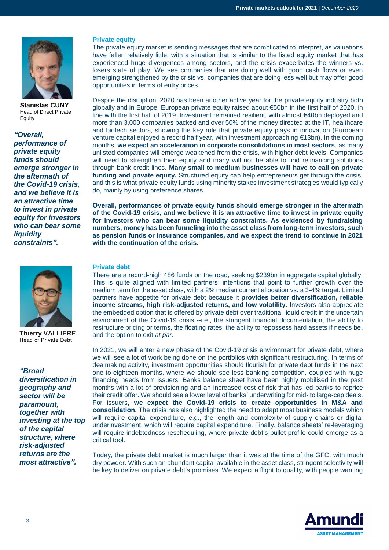

**Stanislas CUNY** Head of Direct Private **Equity** 

*"Overall, performance of private equity funds should emerge stronger in the aftermath of the Covid-19 crisis, and we believe it is an attractive time to invest in private equity for investors who can bear some liquidity constraints".*



**Thierry VALLIERE** Head of Private Debt

*"Broad diversification in geography and sector will be paramount, together with investing at the top of the capital structure, where risk-adjusted returns are the most attractive".*

#### **Private equity**

The private equity market is sending messages that are complicated to interpret, as valuations have fallen relatively little, with a situation that is similar to the listed equity market that has experienced huge divergences among sectors, and the crisis exacerbates the winners vs. losers state of play. We see companies that are doing well with good cash flows or even emerging strengthened by the crisis vs. companies that are doing less well but may offer good opportunities in terms of entry prices.

Despite the disruption, 2020 has been another active year for the private equity industry both globally and in Europe. European private equity raised about €50bn in the first half of 2020, in line with the first half of 2019. Investment remained resilient, with almost €40bn deployed and more than 3,000 companies backed and over 50% of the money directed at the IT, healthcare and biotech sectors, showing the key role that private equity plays in innovation (European venture capital enjoyed a record half year, with investment approaching €13bn). In the coming months, **we expect an acceleration in corporate consolidations in most sectors**, as many unlisted companies will emerge weakened from the crisis, with higher debt levels. Companies will need to strengthen their equity and many will not be able to find refinancing solutions through bank credit lines. **Many small to medium businesses will have to call on private** funding and private equity. Structured equity can help entrepreneurs get through the crisis, and this is what private equity funds using minority stakes investment strategies would typically do, mainly by using preference shares.

**Overall, performances of private equity funds should emerge stronger in the aftermath of the Covid-19 crisis, and we believe it is an attractive time to invest in private equity for investors who can bear some liquidity constraints. As evidenced by fundraising numbers, money has been funneling into the asset class from long-term investors, such as pension funds or insurance companies, and we expect the trend to continue in 2021 with the continuation of the crisis.**

#### **Private debt**

There are a record-high 486 funds on the road, seeking \$239bn in aggregate capital globally. This is quite aligned with limited partners' intentions that point to further growth over the medium term for the asset class, with a 2% median current allocation vs. a 3-4% target. Limited partners have appetite for private debt because it **provides better diversification, reliable income streams, high risk-adjusted returns, and low volatility**. Investors also appreciate the embedded option that is offered by private debt over traditional liquid credit in the uncertain environment of the Covid-19 crisis --i.e., the stringent financial documentation, the ability to restructure pricing or terms, the floating rates, the ability to repossess hard assets if needs be, and the option to exit *at par*.

In 2021, we will enter a new phase of the Covid-19 crisis environment for private debt, where we will see a lot of work being done on the portfolios with significant restructuring. In terms of dealmaking activity, investment opportunities should flourish for private debt funds in the next one-to-eighteen months, where we should see less banking competition, coupled with huge financing needs from issuers. Banks balance sheet have been highly mobilised in the past months with a lot of provisioning and an increased cost of risk that has led banks to reprice their credit offer. We should see a lower level of banks' underwriting for mid- to large-cap deals. For issuers, **we expect the Covid-19 crisis to create opportunities in M&A and consolidation.** The crisis has also highlighted the need to adapt most business models which will require capital expenditure, e.g., the length and complexity of supply chains or digital underinvestment, which will require capital expenditure. Finally, balance sheets' re-leveraging will require indebtedness rescheduling, where private debt's bullet profile could emerge as a critical tool.

Today, the private debt market is much larger than it was at the time of the GFC, with much dry powder. With such an abundant capital available in the asset class, stringent selectivity will be key to deliver on private debt's promises. We expect a flight to quality, with people wanting

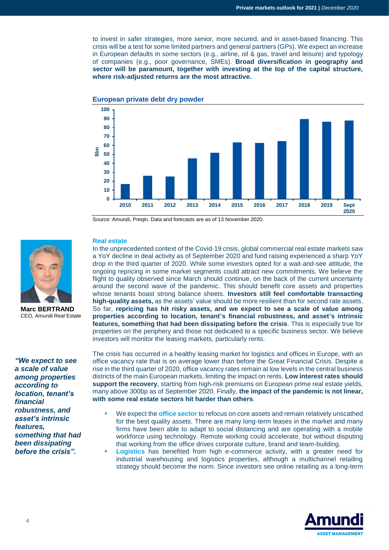to invest in safer strategies, more senior, more secured, and in asset-based financing. This crisis will be a test for some limited partners and general partners (GPs). We expect an increase in European defaults in some sectors (e.g., airline, oil & gas, travel and leisure) and typology of companies (e.g., poor governance, SMEs). **Broad diversification in geography and sector will be paramount, together with investing at the top of the capital structure, where risk-adjusted returns are the most attractive.**



Source: Amundi, Preqin. Data and forecasts are as of 13 November 2020.



**Marc BERTRAND** CEO, Amundi Real Estate

*"We expect to see a scale of value among properties according to location, tenant's financial robustness, and asset's intrinsic features, something that had been dissipating before the crisis".*

### **Real estate**

In the unprecedented context of the Covid-19 crisis, global commercial real estate markets saw a YoY decline in deal activity as of September 2020 and fund raising experienced a sharp YoY drop in the third quarter of 2020. While some investors opted for a wait-and-see attitude, the ongoing repricing in some market segments could attract new commitments. We believe the flight to quality observed since March should continue, on the back of the current uncertainty around the second wave of the pandemic. This should benefit core assets and properties whose tenants boast strong balance sheets. **Investors still feel comfortable transacting high-quality assets,** as the assets' value should be more resilient than for second rate assets. So far, **repricing has hit risky assets, and we expect to see a scale of value among properties according to location, tenant's financial robustness, and asset's intrinsic features, something that had been dissipating before the crisis**. This is especially true for properties on the periphery and those not dedicated to a specific business sector. We believe investors will monitor the leasing markets, particularly rents.

The crisis has occurred in a healthy leasing market for logistics and offices in Europe, with an office vacancy rate that is on average lower than before the Great Financial Crisis. Despite a rise in the third quarter of 2020, office vacancy rates remain at low levels in the central business districts of the main European markets, limiting the impact on rents. **Low interest rates should support the recovery**, starting from high-risk premiums on European prime real estate yields, many above 300bp as of September 2020. Finally, **the impact of the pandemic is not linear, with some real estate sectors hit harder than others**.

- We expect the **office sector** to refocus on core assets and remain relatively unscathed for the best quality assets. There are many long-term leases in the market and many firms have been able to adapt to social distancing and are operating with a mobile workforce using technology. Remote working could accelerate, but without disputing that working from the office drives corporate culture, brand and team-building.
- **Logistics** has benefited from high e-commerce activity, with a greater need for industrial warehousing and logistics properties, although a multichannel retailing strategy should become the norm. Since investors see online retailing as a long-term

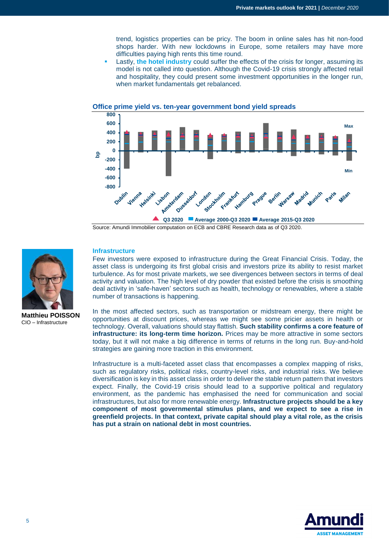trend, logistics properties can be pricy. The boom in online sales has hit non-food shops harder. With new lockdowns in Europe, some retailers may have more difficulties paying high rents this time round.

 Lastly, **the hotel industry** could suffer the effects of the crisis for longer, assuming its model is not called into question. Although the Covid-19 crisis strongly affected retail and hospitality, they could present some investment opportunities in the longer run, when market fundamentals get rebalanced.



#### **Office prime yield vs. ten-year government bond yield spreads**

Source: Amundi Immobilier computation on ECB and CBRE Research data as of Q3 2020.



**Matthieu POISSON** CIO – Infrastructure

#### **Infrastructure**

Few investors were exposed to infrastructure during the Great Financial Crisis. Today, the asset class is undergoing its first global crisis and investors prize its ability to resist market turbulence. As for most private markets, we see divergences between sectors in terms of deal activity and valuation. The high level of dry powder that existed before the crisis is smoothing deal activity in 'safe-haven' sectors such as health, technology or renewables, where a stable number of transactions is happening.

In the most affected sectors, such as transportation or midstream energy, there might be opportunities at discount prices, whereas we might see some pricier assets in health or technology. Overall, valuations should stay flattish. **Such stability confirms a core feature of infrastructure: its long-term time horizon.** Prices may be more attractive in some sectors today, but it will not make a big difference in terms of returns in the long run. Buy-and-hold strategies are gaining more traction in this environment.

Infrastructure is a multi-faceted asset class that encompasses a complex mapping of risks, such as regulatory risks, political risks, country-level risks, and industrial risks. We believe diversification is key in this asset class in order to deliver the stable return pattern that investors expect. Finally, the Covid-19 crisis should lead to a supportive political and regulatory environment, as the pandemic has emphasised the need for communication and social infrastructures, but also for more renewable energy. **Infrastructure projects should be a key component of most governmental stimulus plans, and we expect to see a rise in greenfield projects. In that context, private capital should play a vital role, as the crisis has put a strain on national debt in most countries.**